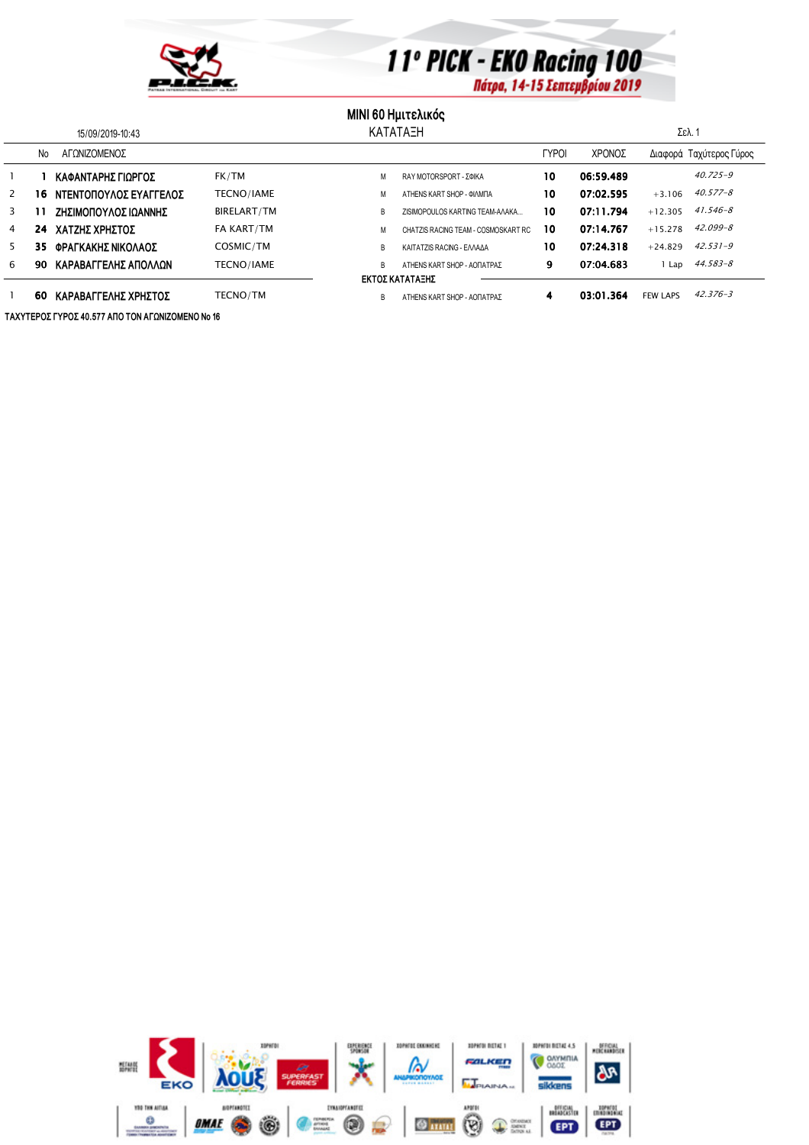

## 11° PICK - EKO Racing 100

## **MINI 60 Ημιτελικός**

| 15/09/2019-10:43 |    |                        |                    | <b>KATATAEH</b> |                                     |              | Σελ. 1    |                 |                         |
|------------------|----|------------------------|--------------------|-----------------|-------------------------------------|--------------|-----------|-----------------|-------------------------|
|                  | No | ΑΓΟΝΙΖΟΜΕΝΟΣ           |                    |                 |                                     | <b>TYPOI</b> | ΧΡΟΝΟΣ    |                 | Διαφορά Ταχύτερος Γύρος |
|                  |    | ΚΑΦΑΝΤΑΡΗΣ ΓΙΩΡΓΟΣ     | FK/TM              | М               | RAY MOTORSPORT - ΣΦΙΚΑ              | 10           | 06:59.489 |                 | $40.725 - 9$            |
| 2                | 16 | ΝΤΕΝΤΟΠΟΥΛΟΣ ΕΥΑΓΓΕΛΟΣ | <b>TECNO/IAME</b>  | М               | ATHENS KART SHOP - OIAMITA          | 10           | 07:02.595 | $+3.106$        | $40.577 - 8$            |
| 3                |    | ΖΗΣΙΜΟΠΟΥΛΟΣ ΙΩΑΝΝΗΣ   | <b>BIRELART/TM</b> | B               | ZISIMOPOULOS KARTING TEAM-AAAKA     | 10           | 07:11.794 | $+12.305$       | $41.546 - 8$            |
| 4                | 24 | ΧΑΤΖΗΣ ΧΡΗΣΤΟΣ         | FA KART/TM         | М               | CHATZIS RACING TEAM - COSMOSKART RC | 10           | 07:14.767 | $+15.278$       | $42.099 - 8$            |
| 5                | 35 | ΦΡΑΓΚΑΚΗΣ ΝΙΚΟΛΑΟΣ     | COSMIC/TM          | B               | KAITATZIS RACING - EAAAAA           | 10           | 07:24.318 | $+24.829$       | $42.531 - 9$            |
| 6                | 90 | ΚΑΡΑΒΑΓΓΕΛΗΣ ΑΠΟΛΛΩΝ   | TECNO/IAME         | B               | ΑΤΗΕΝS ΚΑRT SHOP - ΑΟΠΑΤΡΑΣ         | 9            | 07:04.683 | Lap             | 44.583-8                |
| ΕΚΤΟΣ ΚΑΤΑΤΑΞΗΣ  |    |                        |                    |                 |                                     |              |           |                 |                         |
|                  | 60 | ΚΑΡΑΒΑΓΓΕΛΗΣ ΧΡΗΣΤΟΣ   | <b>TECNO/TM</b>    | B               | ΑΤΗΕΝS ΚΑRT SHOP - ΑΟΠΑΤΡΑΣ         | 4            | 03:01.364 | <b>FEW LAPS</b> | $42.376 - 3$            |

ΤΑΧΥΤΕΡΟΣ ΓΥΡΟΣ 40.577 ΑΠΟ ΤΟΝ ΑΓΩΝΙΖΟΜΕΝΟ Νο 16